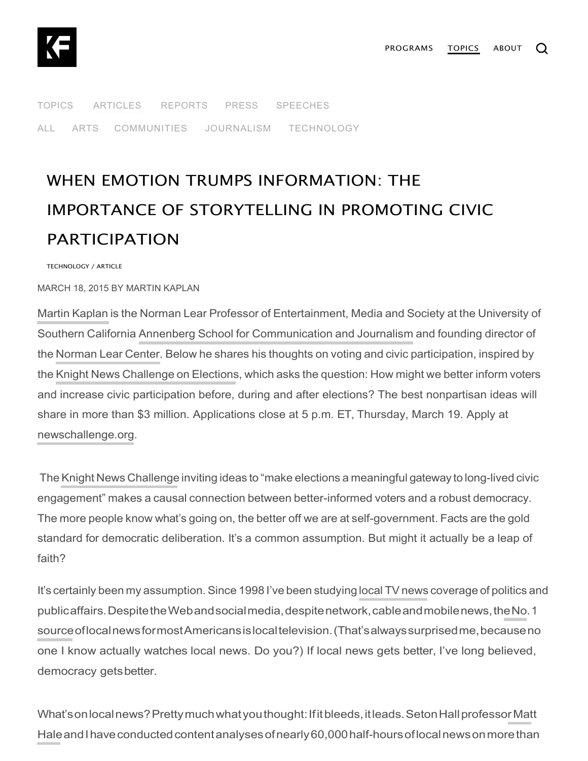

[TOPICS](https://knightfoundation.org/topics) [ARTICLES](https://knightfoundation.org/articles) [REPORTS](https://knightfoundation.org/reports) [PRESS](https://knightfoundation.org/press) [SPEECHES](https://knightfoundation.org/speeches) [ALL](https://knightfoundation.org/articles) [ARTS](https://knightfoundation.org/articles/programs/arts) [COMMUNITIES](https://knightfoundation.org/articles/programs/communities) [JOURNALISM](https://knightfoundation.org/articles/programs/journalism) [TECHNOLOGY](https://knightfoundation.org/articles/programs/technology)

## IMPORTANCE OF STORYTELLING IN PROMOTING CIVIC PARTICIPATION WHEN EMOTION TRUMPS INFORMATION: THE

TECHNOLOGY / ARTICLE

MARCH 18, 2015 BY [MARTIN KAPLAN](https://knightfoundation.org/articles/authors/martin-kaplan)

Martin [Kaplan](http://www.learcenter.org/html/about/?cm=kaplan) is the Norman Lear Professor of Entertainment, Media and Society at the University of Southern California Annenberg School for [Communication](http://annenberg.usc.edu/) and Journalism and founding director of the [Norman](http://www.blog.learcenter.org/) Lear Center. Below he shares his thoughts on voting and civic participation, inspired by the Knight News [Challenge](http://www.knightfoundation.org/blogs/knightblog/2015/2/25/knight-news-challenge-elections-opens-ideas/) on Elections, which asks the question: How might we better inform voters and increase civic participation before, during and after elections? The best nonpartisan ideas will share in more than \$3 million. Applications close at 5 p.m. ET, Thursday, March 19. Apply at [newschallenge.org](https://www.newschallenge.org/).

The Knight News [Challenge](https://www.newschallenge.org/) inviting ideas to "make elections a meaningful gateway to long-lived civic engagement" makes a causal connection between better-informed voters and a robust democracy. The more people know what's going on, the better off we are at self-government. Facts are the gold standard for democratic deliberation. It's a common assumption. But might it actually be a leap of faith?

It's certainly been my assumption. Since 1998 I've been studying local TV [news](http://www.learcenter.org/html/projects/?cm=news) coverage of politics and [publicaffairs.DespitetheWebandsocialmedia,despitenetwork,cableandmobilenews,theNo.1](http://www.journalism.org/2013/10/11/how-americans-get-tv-news-at-home/)  [sourceoflocalnewsformostAmericansislocaltelevision.\(That'salwayssurprisedme,becauseno](http://www.journalism.org/2013/10/11/how-americans-get-tv-news-at-home/) one I know actually watches local news. Do you?) If local news gets better, I've long believed, democracy getsbetter.

[What'sonlocalnews?Prettymuchwhatyouthought:Ifitbleeds,itleads.SetonHallprofessorMatt](http://www.shu.edu/academics/profiles/faculty/174340)  Hale and I have conducted content analyses of nearly 60,000 half-hours of local news on more than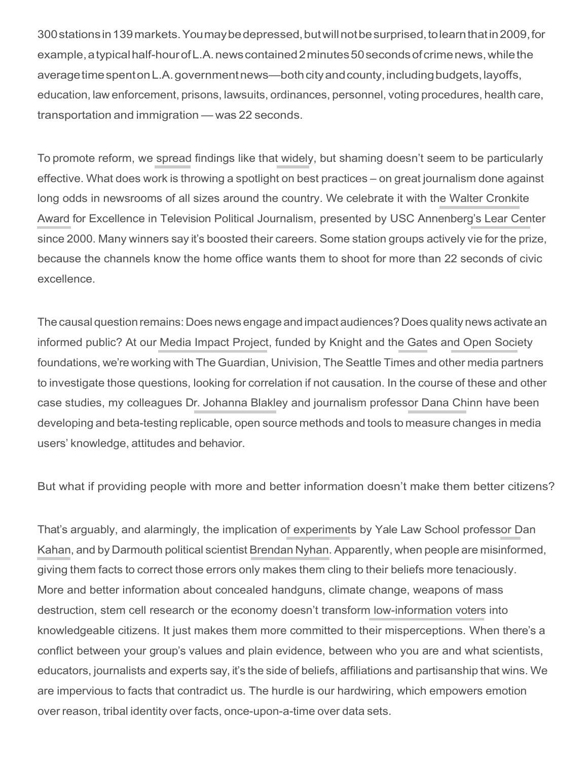[300stationsin139markets.Youmaybedepressed,butwillnotbesurprised,tolearnthatin2009,for](http://annenberg.usc.edu/News%20and%20Events/News/100311LearNews.aspx)  [example,atypicalhalf-hourofL.A.newscontained2minutes50secondsofcrimenews,whilethe](http://annenberg.usc.edu/News%20and%20Events/News/100311LearNews.aspx) averagetimespentonL.A.governmentnews—bothcityandcounty,includingbudgets,layoffs, education, law enforcement, prisons, lawsuits, ordinances, personnel, voting procedures, health care, transportation and immigration — was 22 seconds.

To promote reform, we spread findings like that [widely,](http://www.learcenter.org/html/projects/?cm=news) but shaming doesn't seem to be particularly effective. What does work is throwing a spotlight on best practices – on great journalism done against [long odds in newsrooms of all sizes around the country. We](http://www.cronkiteaward.org/) celebrate it with the Walter Cronkite [Award for Excellence in Television Political Journalism, presented by USC Annenberg's](http://www.cronkiteaward.org/) [Lear Center](http://www.blog.learcenter.org/) since 2000. Many winners say it's boosted their careers. Some station groups actively vie for the prize, because the channels know the home office wants them to shoot for more than 22 seconds of civic excellence.

The causal question remains: Does news engage and impact audiences? Does quality news activate an informed public? At our [Media Impact Project,](http://www.mediaimpactproject.org/) funded by Knight and the [Gates a](http://www.gatesfoundation.org/)nd [Open Society](http://www.opensocietyfoundations.org/) foundations, we're working with The Guardian, Univision, The Seattle Times and other media partners to investigate those questions, looking for correlation if not causation. In the course of these and other case studies, my colleagues Dr. [Johanna Blakley a](https://johannablakley.wordpress.com/)nd journalism professor [Dana Chinn h](http://annenberg.usc.edu/Faculty/Communication%20and%20Journalism/ChinnD.aspx)ave been developing and beta-testing replicable, open source methods and tools to measure changes in media users' knowledge, attitudes and behavior.

But what if providing people with more and better information doesn't make them better citizens?

[That's arguably, and alarmingly, the implication of experiments by Yale Law School professor Dan](http://www.law.yale.edu/faculty/DKahan.htm)  Kahan, and by [Darmouth](http://www.law.yale.edu/faculty/DKahan.htm) political scientist [Brendan](http://www.dartmouth.edu/%7Enyhan/) Nyhan. [Apparently,](http://www.law.yale.edu/faculty/DKahan.htm) when people are misinformed, giving them facts to correct those errors only makes them cling to their beliefs more tenaciously. More and better information about concealed handguns, climate change, weapons of mass destruction, stem cell research or the economy doesn't transform [low-information voters i](http://truth-out.org/opinion/item/11348-george-lakoff-low-information-or-high-morality)nto knowledgeable citizens. It just makes them more committed to their misperceptions. When there's a conflict between your group's values and plain evidence, between who you are and what scientists, educators, journalists and experts say, it's the side of beliefs, affiliations and partisanship that wins. We are impervious to facts that contradict us. The hurdle is our hardwiring, which empowers emotion over reason, tribal identity over facts, once-upon-a-time over data sets.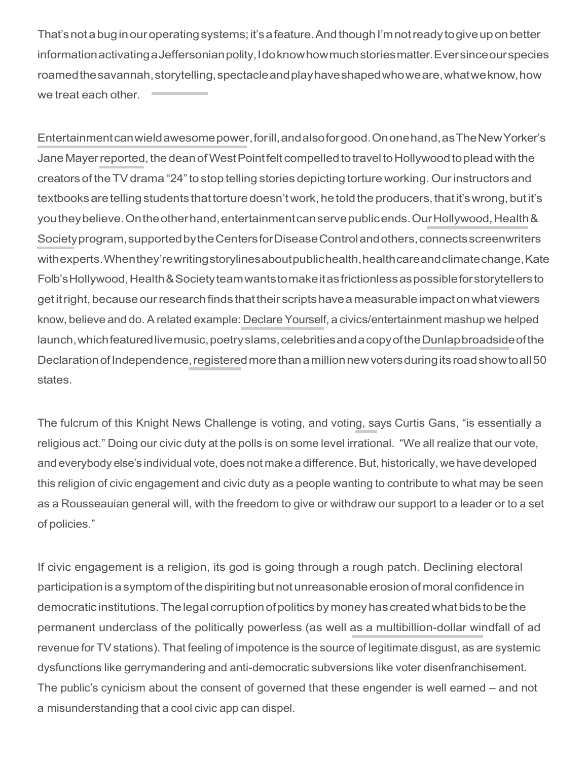That's not a bug in our operating systems; it's a feature. And though I'm not ready to give up on better information activating a Jeffersonian polity, I do know how much stories matter. Ever since our species roamed the savannah, storytelling, spectacle and play have shaped who we are, what we know, how we treat each other.

Entertainment can wield awesome power, for ill, and also for good. On one hand, as The New Yorker's Jane Mayer reported, the dean of West Point felt compelled to travel to Hollywood to plead with the creators of the TV drama "24" to stop telling stories depicting torture working. Our instructors and textbooks are telling students that torture doesn't work, he told the producers, that it's wrong, but it's you they believe. On the other hand, entertainment can serve public ends. Our Hollywood, Health & Society program, supported by the Centers for Disease Control and others, connects screenwriters withexperts. When they'rewriting storylines about publichealth, health careand climate change, Kate Folb's Hollywood, Health & Society team wants to make it as frictionless as possible for storytellers to get it right, because our research finds that their scripts have a measurable impact on what viewers know, believe and do. A related example: Declare Yourself, a civics/entertainment mashup we helped launch, which featured live music, poetry slams, celebrities and a copy of the Dunlap broadside of the Declaration of Independence, registered more than a million new voters during its road show to all 50 states.

The fulcrum of this Knight News Challenge is voting, and voting, says Curtis Gans, "is essentially a religious act." Doing our civic duty at the polls is on some level irrational. "We all realize that our vote, and everybody else's individual vote, does not make a difference. But, historically, we have developed this religion of civic engagement and civic duty as a people wanting to contribute to what may be seen as a Rousseauian general will, with the freedom to give or withdraw our support to a leader or to a set of policies."

If civic engagement is a religion, its god is going through a rough patch. Declining electoral participation is a symptom of the dispiriting but not unreasonable erosion of moral confidence in democratic institutions. The legal corruption of politics by money has created what bids to be the permanent underclass of the politically powerless (as well as a multibillion-dollar windfall of ad revenue for TV stations). That feeling of impotence is the source of legitimate disgust, as are systemic dysfunctions like gerrymandering and anti-democratic subversions like voter disenfranchisement. The public's cynicism about the consent of governed that these engender is well earned – and not a misunderstanding that a cool civic app can dispel.